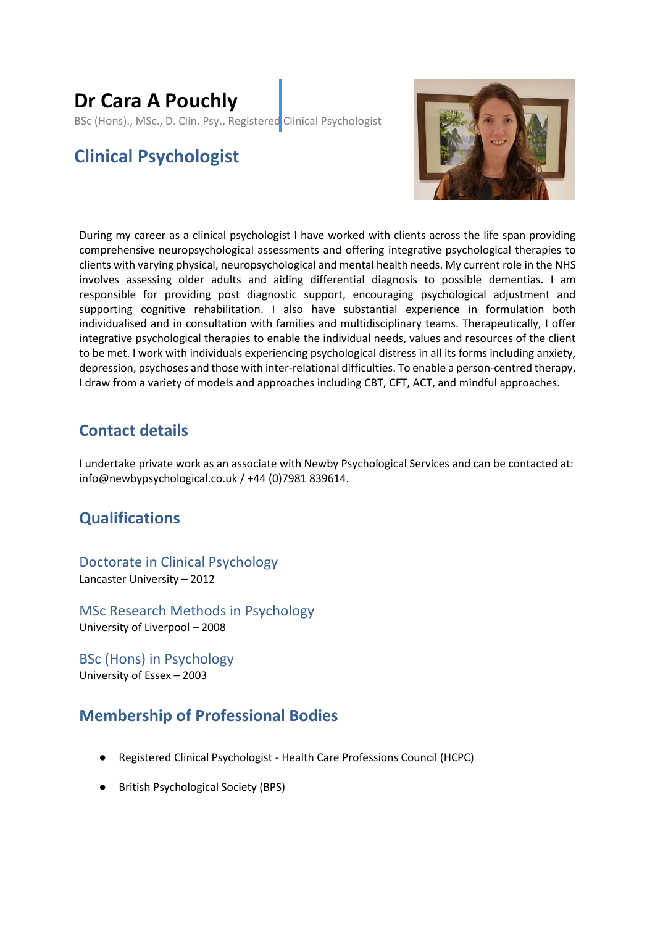# **Dr Cara A Pouchly**

BSc (Hons)., MSc., D. Clin. Psy., Registered Clinical Psychologist

# **Clinical Psychologist**



During my career as a clinical psychologist I have worked with clients across the life span providing comprehensive neuropsychological assessments and offering integrative psychological therapies to clients with varying physical, neuropsychological and mental health needs. My current role in the NHS involves assessing older adults and aiding differential diagnosis to possible dementias. I am responsible for providing post diagnostic support, encouraging psychological adjustment and supporting cognitive rehabilitation. I also have substantial experience in formulation both individualised and in consultation with families and multidisciplinary teams. Therapeutically, I offer integrative psychological therapies to enable the individual needs, values and resources of the client to be met. I work with individuals experiencing psychological distress in all its forms including anxiety, depression, psychoses and those with inter-relational difficulties. To enable a person-centred therapy, I draw from a variety of models and approaches including CBT, CFT, ACT, and mindful approaches.

### **Contact details**

I undertake private work as an associate with Newby Psychological Services and can be contacted at: info@newbypsychological.co.uk / +44 (0)7981 839614.

## **Qualifications**

Doctorate in Clinical Psychology Lancaster University – 2012

MSc Research Methods in Psychology University of Liverpool – 2008

BSc (Hons) in Psychology University of Essex – 2003

### **Membership of Professional Bodies**

- Registered Clinical Psychologist Health Care Professions Council (HCPC)
- British Psychological Society (BPS)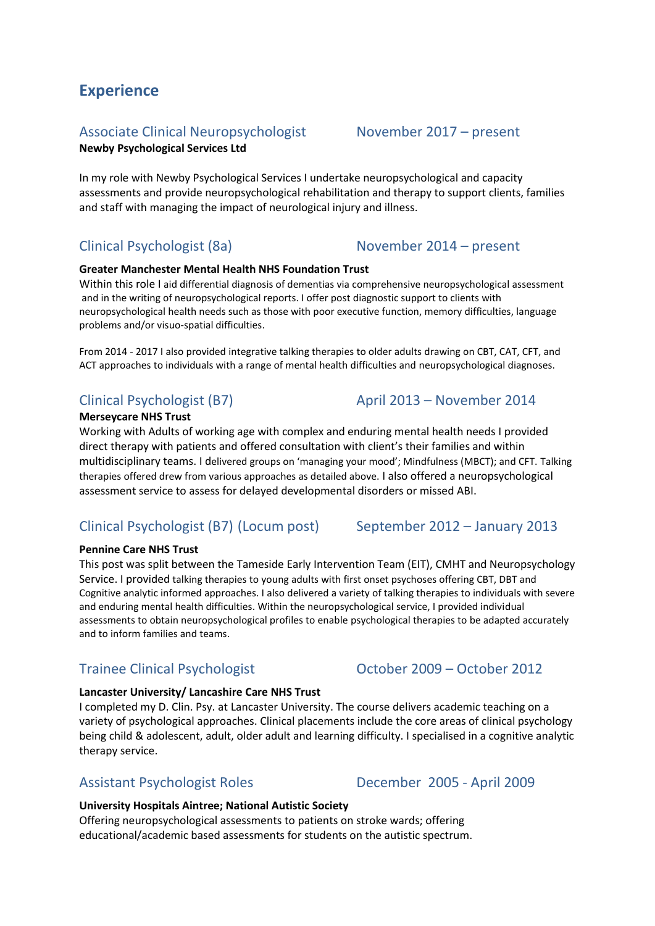# Associate Clinical Neuropsychologist November 2017 – present

**Newby Psychological Services Ltd**

**Experience**

In my role with Newby Psychological Services I undertake neuropsychological and capacity assessments and provide neuropsychological rehabilitation and therapy to support clients, families and staff with managing the impact of neurological injury and illness.

## Clinical Psychologist (8a) November 2014 – present

#### **Greater Manchester Mental Health NHS Foundation Trust**

Within this role I aid differential diagnosis of dementias via comprehensive neuropsychological assessment and in the writing of neuropsychological reports. I offer post diagnostic support to clients with neuropsychological health needs such as those with poor executive function, memory difficulties, language problems and/or visuo-spatial difficulties.

From 2014 - 2017 I also provided integrative talking therapies to older adults drawing on CBT, CAT, CFT, and ACT approaches to individuals with a range of mental health difficulties and neuropsychological diagnoses.

#### **Merseycare NHS Trust**

Working with Adults of working age with complex and enduring mental health needs I provided direct therapy with patients and offered consultation with client's their families and within multidisciplinary teams. I delivered groups on 'managing your mood'; Mindfulness (MBCT); and CFT. Talking therapies offered drew from various approaches as detailed above. I also offered a neuropsychological assessment service to assess for delayed developmental disorders or missed ABI.

# Clinical Psychologist (B7) (Locum post) September 2012 – January 2013

#### **Pennine Care NHS Trust**

This post was split between the Tameside Early Intervention Team (EIT), CMHT and Neuropsychology Service. I provided talking therapies to young adults with first onset psychoses offering CBT, DBT and Cognitive analytic informed approaches. I also delivered a variety of talking therapies to individuals with severe and enduring mental health difficulties. Within the neuropsychological service, I provided individual assessments to obtain neuropsychological profiles to enable psychological therapies to be adapted accurately and to inform families and teams.

## Trainee Clinical Psychologist October 2009 – October 2012

#### **Lancaster University/ Lancashire Care NHS Trust**

I completed my D. Clin. Psy. at Lancaster University. The course delivers academic teaching on a variety of psychological approaches. Clinical placements include the core areas of clinical psychology being child & adolescent, adult, older adult and learning difficulty. I specialised in a cognitive analytic therapy service.

### Assistant Psychologist Roles December 2005 - April 2009

#### **University Hospitals Aintree; National Autistic Society**

Offering neuropsychological assessments to patients on stroke wards; offering educational/academic based assessments for students on the autistic spectrum.

### Clinical Psychologist (B7) April 2013 – November 2014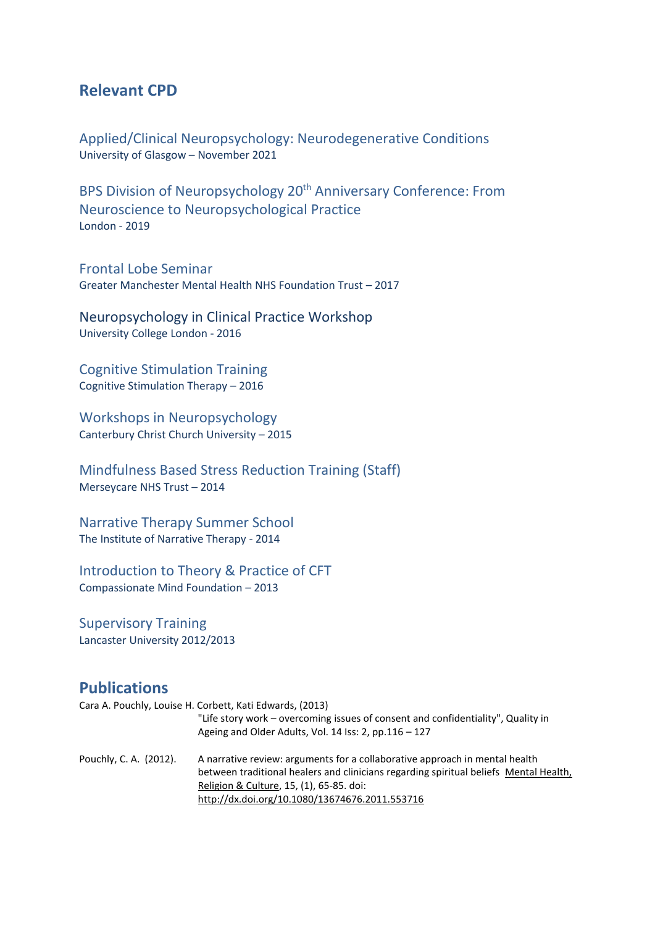#### **Relevant CPD**

Applied/Clinical Neuropsychology: Neurodegenerative Conditions University of Glasgow – November 2021

BPS Division of Neuropsychology 20<sup>th</sup> Anniversary Conference: From Neuroscience to Neuropsychological Practice London - 2019

Frontal Lobe Seminar Greater Manchester Mental Health NHS Foundation Trust – 2017

Neuropsychology in Clinical Practice Workshop University College London - 2016

Cognitive Stimulation Training Cognitive Stimulation Therapy – 2016

Workshops in Neuropsychology Canterbury Christ Church University – 2015

Mindfulness Based Stress Reduction Training (Staff) Merseycare NHS Trust – 2014

Narrative Therapy Summer School The Institute of Narrative Therapy - 2014

Introduction to Theory & Practice of CFT Compassionate Mind Foundation – 2013

Supervisory Training Lancaster University 2012/2013

#### **Publications**

Cara A. Pouchly, Louise H. Corbett, Kati Edwards, (2013)

"Life story work – overcoming issues of consent and confidentiality", Quality in Ageing and Older Adults, Vol. 14 Iss: 2, pp.116 – 127 Pouchly, C. A. (2012). A narrative review: arguments for a collaborative approach in mental health between traditional healers and clinicians regarding spiritual beliefs [Mental Health,](http://www.ingentaconnect.com/content/routledg/cmhr)  [Religion & Culture,](http://www.ingentaconnect.com/content/routledg/cmhr) 15, (1), 65-85. doi: <http://dx.doi.org/10.1080/13674676.2011.553716>